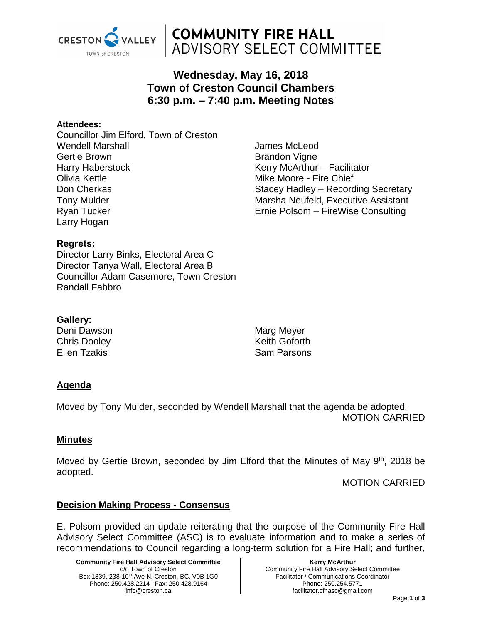

# **COMMUNITY FIRE HALL ADVISORY SELECT COMMITTEE**

## **Wednesday, May 16, 2018 Town of Creston Council Chambers 6:30 p.m. – 7:40 p.m. Meeting Notes**

#### **Attendees:**

Councillor Jim Elford, Town of Creston Wendell Marshall Gertie Brown Harry Haberstock Olivia Kettle Don Cherkas Tony Mulder Ryan Tucker Larry Hogan

James McLeod Brandon Vigne Kerry McArthur – Facilitator Mike Moore - Fire Chief Stacey Hadley – Recording Secretary Marsha Neufeld, Executive Assistant Ernie Polsom – FireWise Consulting

#### **Regrets:**

Director Larry Binks, Electoral Area C Director Tanya Wall, Electoral Area B Councillor Adam Casemore, Town Creston Randall Fabbro

#### **Gallery:**

Deni Dawson Chris Dooley Ellen Tzakis

Marg Meyer Keith Goforth Sam Parsons

### **Agenda**

Moved by Tony Mulder, seconded by Wendell Marshall that the agenda be adopted. MOTION CARRIED

#### **Minutes**

Moved by Gertie Brown, seconded by Jim Elford that the Minutes of May 9<sup>th</sup>, 2018 be adopted.

MOTION CARRIED

#### **Decision Making Process - Consensus**

E. Polsom provided an update reiterating that the purpose of the Community Fire Hall Advisory Select Committee (ASC) is to evaluate information and to make a series of recommendations to Council regarding a long-term solution for a Fire Hall; and further,

**Community Fire Hall Advisory Select Committee** c/o Town of Creston Box 1339, 238-10<sup>th</sup> Ave N, Creston, BC, V0B 1G0 Phone: 250.428.2214 | Fax: 250.428.9164 info@creston.ca

**Kerry McArthur** Community Fire Hall Advisory Select Committee Facilitator / Communications Coordinator Phone: 250.254.5771 facilitator.cfhasc@gmail.com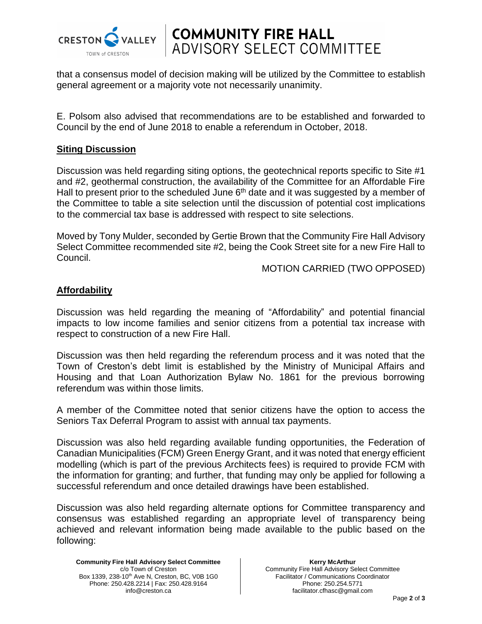

**COMMUNITY FIRE HALL<br>ADVISORY SELECT COMMITTEE** 

that a consensus model of decision making will be utilized by the Committee to establish general agreement or a majority vote not necessarily unanimity.

E. Polsom also advised that recommendations are to be established and forwarded to Council by the end of June 2018 to enable a referendum in October, 2018.

#### **Siting Discussion**

Discussion was held regarding siting options, the geotechnical reports specific to Site #1 and #2, geothermal construction, the availability of the Committee for an Affordable Fire Hall to present prior to the scheduled June  $6<sup>th</sup>$  date and it was suggested by a member of the Committee to table a site selection until the discussion of potential cost implications to the commercial tax base is addressed with respect to site selections.

Moved by Tony Mulder, seconded by Gertie Brown that the Community Fire Hall Advisory Select Committee recommended site #2, being the Cook Street site for a new Fire Hall to Council.

MOTION CARRIED (TWO OPPOSED)

#### **Affordability**

Discussion was held regarding the meaning of "Affordability" and potential financial impacts to low income families and senior citizens from a potential tax increase with respect to construction of a new Fire Hall.

Discussion was then held regarding the referendum process and it was noted that the Town of Creston's debt limit is established by the Ministry of Municipal Affairs and Housing and that Loan Authorization Bylaw No. 1861 for the previous borrowing referendum was within those limits.

A member of the Committee noted that senior citizens have the option to access the Seniors Tax Deferral Program to assist with annual tax payments.

Discussion was also held regarding available funding opportunities, the Federation of Canadian Municipalities (FCM) Green Energy Grant, and it was noted that energy efficient modelling (which is part of the previous Architects fees) is required to provide FCM with the information for granting; and further, that funding may only be applied for following a successful referendum and once detailed drawings have been established.

Discussion was also held regarding alternate options for Committee transparency and consensus was established regarding an appropriate level of transparency being achieved and relevant information being made available to the public based on the following:

**Community Fire Hall Advisory Select Committee** c/o Town of Creston Box 1339, 238-10<sup>th</sup> Ave N, Creston, BC, V0B 1G0 Phone: 250.428.2214 | Fax: 250.428.9164 info@creston.ca

**Kerry McArthur** Community Fire Hall Advisory Select Committee Facilitator / Communications Coordinator Phone: 250.254.5771 facilitator.cfhasc@gmail.com